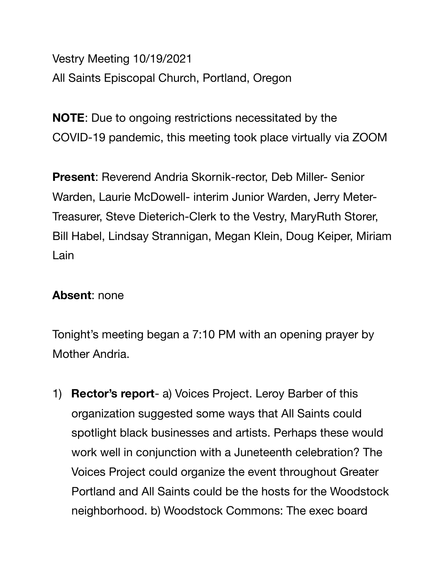Vestry Meeting 10/19/2021 All Saints Episcopal Church, Portland, Oregon

**NOTE**: Due to ongoing restrictions necessitated by the COVID-19 pandemic, this meeting took place virtually via ZOOM

**Present**: Reverend Andria Skornik-rector, Deb Miller- Senior Warden, Laurie McDowell- interim Junior Warden, Jerry Meter-Treasurer, Steve Dieterich-Clerk to the Vestry, MaryRuth Storer, Bill Habel, Lindsay Strannigan, Megan Klein, Doug Keiper, Miriam Lain

## **Absent**: none

Tonight's meeting began a 7:10 PM with an opening prayer by Mother Andria.

1) **Rector's report**- a) Voices Project. Leroy Barber of this organization suggested some ways that All Saints could spotlight black businesses and artists. Perhaps these would work well in conjunction with a Juneteenth celebration? The Voices Project could organize the event throughout Greater Portland and All Saints could be the hosts for the Woodstock neighborhood. b) Woodstock Commons: The exec board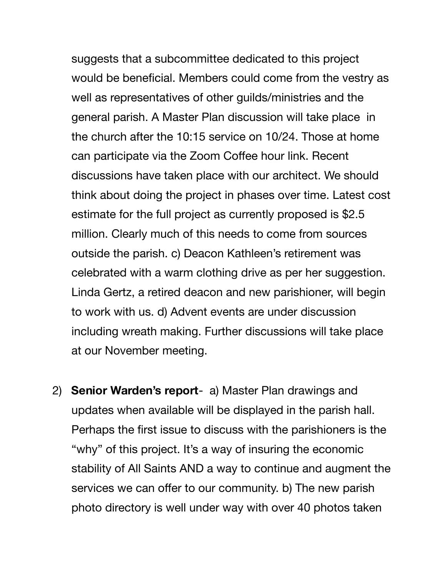suggests that a subcommittee dedicated to this project would be beneficial. Members could come from the vestry as well as representatives of other guilds/ministries and the general parish. A Master Plan discussion will take place in the church after the 10:15 service on 10/24. Those at home can participate via the Zoom Coffee hour link. Recent discussions have taken place with our architect. We should think about doing the project in phases over time. Latest cost estimate for the full project as currently proposed is \$2.5 million. Clearly much of this needs to come from sources outside the parish. c) Deacon Kathleen's retirement was celebrated with a warm clothing drive as per her suggestion. Linda Gertz, a retired deacon and new parishioner, will begin to work with us. d) Advent events are under discussion including wreath making. Further discussions will take place at our November meeting.

2) **Senior Warden's report**- a) Master Plan drawings and updates when available will be displayed in the parish hall. Perhaps the first issue to discuss with the parishioners is the "why" of this project. It's a way of insuring the economic stability of All Saints AND a way to continue and augment the services we can offer to our community. b) The new parish photo directory is well under way with over 40 photos taken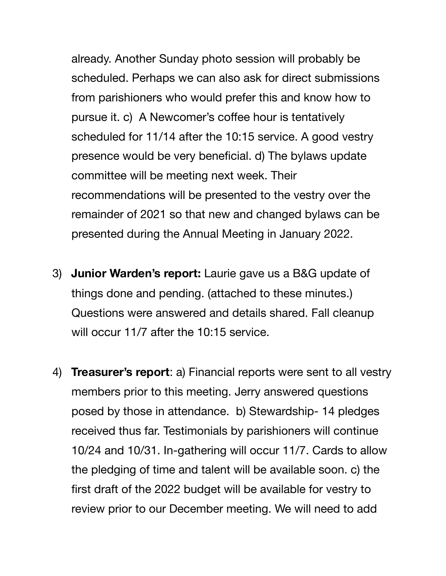already. Another Sunday photo session will probably be scheduled. Perhaps we can also ask for direct submissions from parishioners who would prefer this and know how to pursue it. c) A Newcomer's coffee hour is tentatively scheduled for 11/14 after the 10:15 service. A good vestry presence would be very beneficial. d) The bylaws update committee will be meeting next week. Their recommendations will be presented to the vestry over the remainder of 2021 so that new and changed bylaws can be presented during the Annual Meeting in January 2022.

- 3) **Junior Warden's report:** Laurie gave us a B&G update of things done and pending. (attached to these minutes.) Questions were answered and details shared. Fall cleanup will occur 11/7 after the 10:15 service.
- 4) **Treasurer's report**: a) Financial reports were sent to all vestry members prior to this meeting. Jerry answered questions posed by those in attendance. b) Stewardship- 14 pledges received thus far. Testimonials by parishioners will continue 10/24 and 10/31. In-gathering will occur 11/7. Cards to allow the pledging of time and talent will be available soon. c) the first draft of the 2022 budget will be available for vestry to review prior to our December meeting. We will need to add